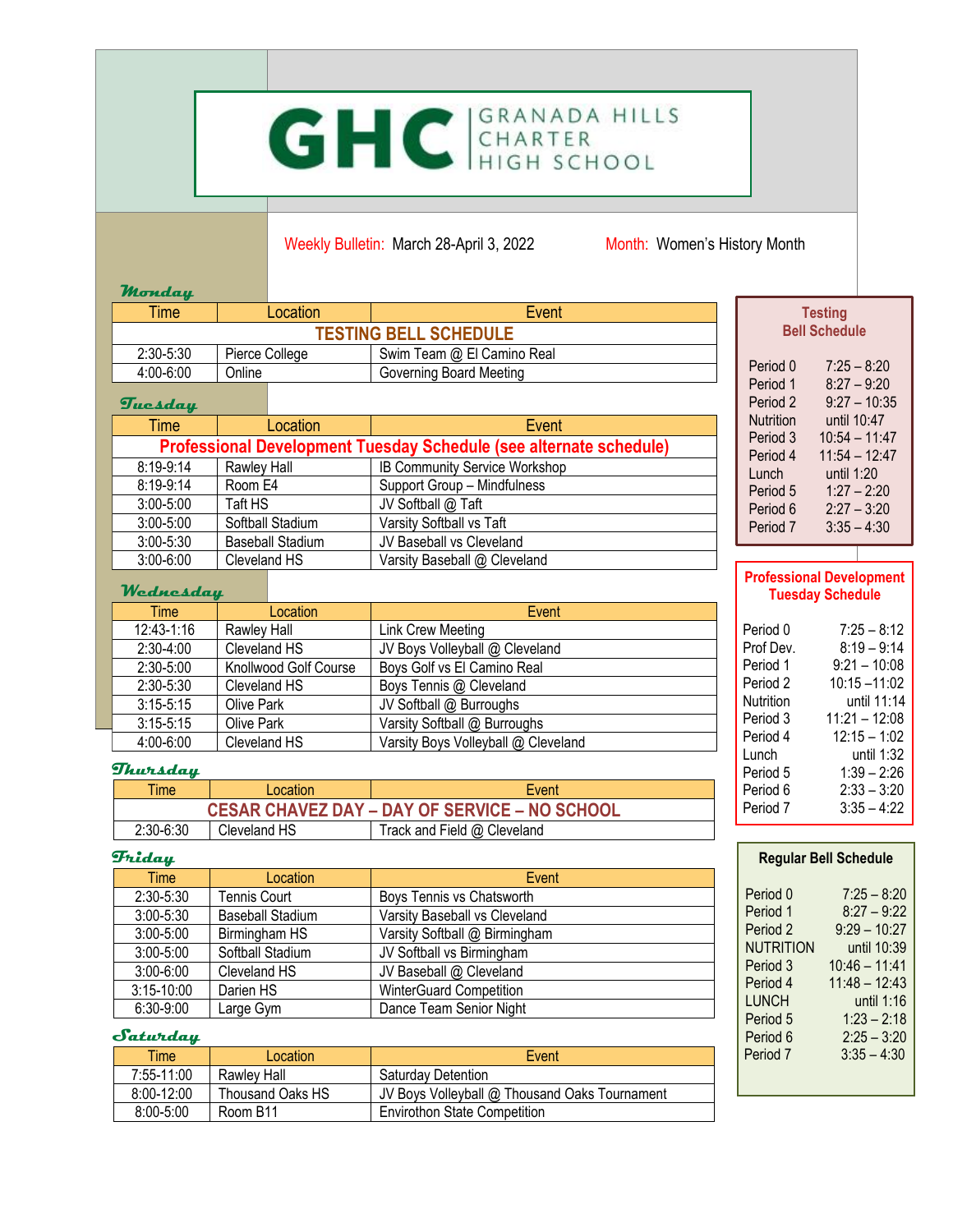# GHC GRANADA HILLS

Weekly Bulletin: March 28-April 3, 2022 Month: Women's History Month

### **Monday**

| <b>Time</b>                  | Location       | Event                      | <b>Testing</b>       |                          |
|------------------------------|----------------|----------------------------|----------------------|--------------------------|
| <b>TESTING BELL SCHEDULE</b> |                |                            | <b>Bell Schedule</b> |                          |
| $2:30 - 5:30$                | Pierce College | Swim Team @ El Camino Real |                      |                          |
| 4:00-6:00                    | <b>Online</b>  | Governing Board Meeting    | Period 0<br>Period 1 | $7:25 - 8$<br>$8.27 - 9$ |
|                              |                |                            |                      |                          |

# **Tuesday**

| Time          | Location                                                           | Event                         |  |
|---------------|--------------------------------------------------------------------|-------------------------------|--|
|               | Professional Development Tuesday Schedule (see alternate schedule) |                               |  |
| 8:19-9:14     | Rawley Hall                                                        | IB Community Service Workshop |  |
| $8:19-9:14$   | Room E4                                                            | Support Group - Mindfulness   |  |
| $3:00 - 5:00$ | Taft HS                                                            | JV Softball @ Taft            |  |
| $3:00 - 5:00$ | Softball Stadium                                                   | Varsity Softball vs Taft      |  |
| $3:00 - 5:30$ | <b>Baseball Stadium</b>                                            | JV Baseball vs Cleveland      |  |
| $3:00 - 6:00$ | Cleveland HS                                                       | Varsity Baseball @ Cleveland  |  |

# **Wednesday**

| т ис      |                                     |                       |             |
|-----------|-------------------------------------|-----------------------|-------------|
|           | Event                               | Location              | Time        |
| Period 0  | Link Crew Meeting                   | Rawley Hall           | 12:43-1:16  |
| Prof Dev  | JV Boys Volleyball @ Cleveland      | Cleveland HS          | $2:30-4:00$ |
| Period 1  | Boys Golf vs El Camino Real         | Knollwood Golf Course | $2:30-5:00$ |
| Period 2  | Boys Tennis @ Cleveland             | Cleveland HS          | 2:30-5:30   |
| Nutrition | JV Softball @ Burroughs             | Olive Park            | $3:15-5:15$ |
| Period 3  | Varsity Softball @ Burroughs        | Olive Park            | $3:15-5:15$ |
| Period 4  | Varsity Boys Volleyball @ Cleveland | Cleveland HS          | 4:00-6:00   |

#### **Thursday**

| <b>Time</b>                                          | Location     | Event                       |
|------------------------------------------------------|--------------|-----------------------------|
| <b>CESAR CHAVEZ DAY - DAY OF SERVICE - NO SCHOOL</b> |              |                             |
| 2:30-6:30                                            | Cleveland HS | Track and Field @ Cleveland |

#### **Friday**

| .              |                         |                                |                          |                |
|----------------|-------------------------|--------------------------------|--------------------------|----------------|
| <b>Time</b>    | Location                | Event                          |                          |                |
| $2:30 - 5:30$  | Tennis Court            | Boys Tennis vs Chatsworth      | Period 0                 | 7:             |
| $3:00 - 5:30$  | <b>Baseball Stadium</b> | Varsity Baseball vs Cleveland  | Period 1                 | 8:             |
| $3:00 - 5:00$  | Birmingham HS           | Varsity Softball @ Birmingham  | Period 2                 | 9:2            |
| $3:00 - 5:00$  | Softball Stadium        | JV Softball vs Birmingham      | <b>NUTRITION</b>         | U              |
| $3:00 - 6:00$  | Cleveland HS            | JV Baseball @ Cleveland        | Period 3                 | 10:4           |
| $3:15 - 10:00$ | Darien HS               | <b>WinterGuard Competition</b> | Period 4                 | 11:4           |
| 6:30-9:00      | Large Gym               | Dance Team Senior Night        | <b>LUNCH</b><br>Deriod E | $\overline{A}$ |

## **Saturday**

| <b>Time</b>    | Location         | Event                                         |
|----------------|------------------|-----------------------------------------------|
| 7:55-11:00     | Rawlev Hall      | <b>Saturday Detention</b>                     |
| $8:00 - 12:00$ | Thousand Oaks HS | JV Boys Volleyball @ Thousand Oaks Tournament |
| $8:00 - 5:00$  | Room B11         | <b>Envirothon State Competition</b>           |

| <b>Testing</b><br><b>Bell Schedule</b> |                 |  |  |
|----------------------------------------|-----------------|--|--|
| Period 0                               | $7:25 - 8:20$   |  |  |
| Period 1                               | $8:27 - 9:20$   |  |  |
| Period 2                               | $9:27 - 10:35$  |  |  |
| Nutrition                              | until 10:47     |  |  |
| Period 3                               | $10:54 - 11:47$ |  |  |
| Period 4                               | $11:54 - 12:47$ |  |  |
| Lunch                                  | until $1:20$    |  |  |
| Period 5                               | $1:27 - 2:20$   |  |  |
| Period 6                               | $2:27 - 3:20$   |  |  |
| Period 7                               | $3:35 - 4:30$   |  |  |

#### **Professional Development Tuesday Schedule**

| Period 0<br>Prof Dev.<br>Period 1<br>Period 2<br>Nutrition<br>Period 3<br>Period 4<br>Lunch<br>Period 5<br>Period 6 | $7:25 - 8:12$<br>$8:19 - 9:14$<br>$9:21 - 10:08$<br>$10:15 - 11:02$<br>until 11:14<br>$11:21 - 12:08$<br>$12:15 - 1:02$<br>until 1:32<br>$1:39 - 2:26$<br>$2:33 - 3:20$ |
|---------------------------------------------------------------------------------------------------------------------|-------------------------------------------------------------------------------------------------------------------------------------------------------------------------|
| Period 7                                                                                                            | $3:35 - 4:22$                                                                                                                                                           |
|                                                                                                                     |                                                                                                                                                                         |

| Period 0            | $7:25 - 8:20$   |
|---------------------|-----------------|
| Period 1            | $8:27 - 9:22$   |
| Period 2            | $9:29 - 10:27$  |
| NUTRITION           | until 10:39     |
| Period 3            | $10:46 - 11:41$ |
| Period 4            | $11:48 - 12:43$ |
| LUNCH               | until 1:16      |
| Period 5            | $1:23 - 2:18$   |
| Period <sub>6</sub> | $2:25 - 3:20$   |
| Period 7            | $3:35 - 4:30$   |
|                     |                 |
|                     |                 |

**Regular Bell Schedule**